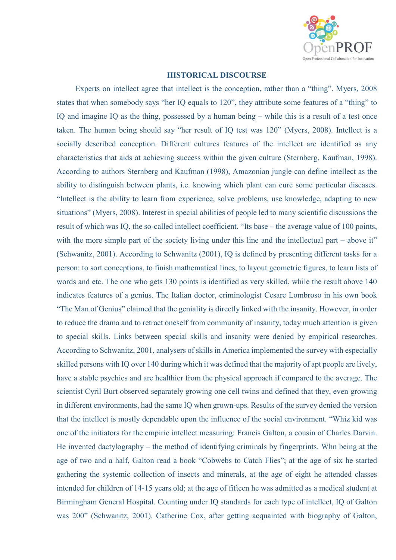

## **HISTORICAL DISCOURSE**

Experts on intellect agree that intellect is the conception, rather than a "thing". Myers, 2008 states that when somebody says "her IQ equals to 120", they attribute some features of a "thing" to IQ and imagine IQ as the thing, possessed by a human being – while this is a result of a test once taken. The human being should say "her result of IQ test was 120" (Myers, 2008). Intellect is a socially described conception. Different cultures features of the intellect are identified as any characteristics that aids at achieving success within the given culture (Sternberg, Kaufman, 1998). According to authors Sternberg and Kaufman (1998), Amazonian jungle can define intellect as the ability to distinguish between plants, i.e. knowing which plant can cure some particular diseases. "Intellect is the ability to learn from experience, solve problems, use knowledge, adapting to new situations" (Myers, 2008). Interest in special abilities of people led to many scientific discussions the result of which was IQ, the so-called intellect coefficient. "Its base – the average value of 100 points, with the more simple part of the society living under this line and the intellectual part – above it" (Schwanitz, 2001). According to Schwanitz (2001), IQ is defined by presenting different tasks for a person: to sort conceptions, to finish mathematical lines, to layout geometric figures, to learn lists of words and etc. The one who gets 130 points is identified as very skilled, while the result above 140 indicates features of a genius. The Italian doctor, criminologist Cesare Lombroso in his own book "The Man of Genius" claimed that the geniality is directly linked with the insanity. However, in order to reduce the drama and to retract oneself from community of insanity, today much attention is given to special skills. Links between special skills and insanity were denied by empirical researches. According to Schwanitz, 2001, analysers of skills in America implemented the survey with especially skilled persons with IQ over 140 during which it was defined that the majority of apt people are lively, have a stable psychics and are healthier from the physical approach if compared to the average. The scientist Cyril Burt observed separately growing one cell twins and defined that they, even growing in different environments, had the same IQ when grown-ups. Results of the survey denied the version that the intellect is mostly dependable upon the influence of the social environment. "Whiz kid was one of the initiators for the empiric intellect measuring: Francis Galton, a cousin of Charles Darvin. He invented dactylography – the method of identifying criminals by fingerprints. Whn being at the age of two and a half, Galton read a book "Cobwebs to Catch Flies"; at the age of six he started gathering the systemic collection of insects and minerals, at the age of eight he attended classes intended for children of 14-15 years old; at the age of fifteen he was admitted as a medical student at Birmingham General Hospital. Counting under IQ standards for each type of intellect, IQ of Galton was 200" (Schwanitz, 2001). Catherine Cox, after getting acquainted with biography of Galton,